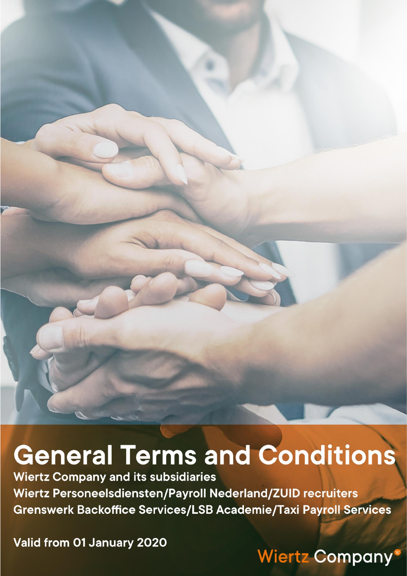# **General Terms and Conditions**

**Wiertz Company and its subsidiaries** Wiertz Personeelsdiensten/Payroll Nederland/ZUID recruiters Grenswerk Backoffice Services/LSB Academie/Taxi Payroll Services

Valid from 01 January 2020

# **Wiertz Company**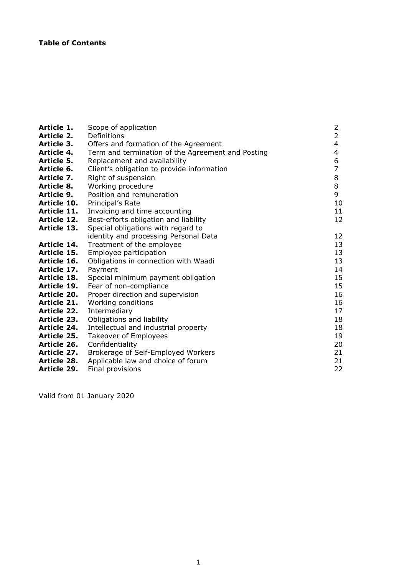| Article 1.         | Scope of application                              | $\overline{2}$ |
|--------------------|---------------------------------------------------|----------------|
| Article 2.         | Definitions                                       | $\overline{2}$ |
| Article 3.         | Offers and formation of the Agreement             | 4              |
| Article 4.         | Term and termination of the Agreement and Posting | 4              |
| Article 5.         | Replacement and availability                      | 6              |
| Article 6.         | Client's obligation to provide information        | $\overline{7}$ |
| Article 7.         | Right of suspension                               | 8              |
| Article 8.         | Working procedure                                 | 8              |
| Article 9.         | Position and remuneration                         | 9              |
| Article 10.        | Principal's Rate                                  | 10             |
| Article 11.        | Invoicing and time accounting                     | 11             |
| <b>Article 12.</b> | Best-efforts obligation and liability             | 12             |
| Article 13.        | Special obligations with regard to                |                |
|                    | identity and processing Personal Data             | 12             |
| Article 14.        | Treatment of the employee                         | 13             |
| Article 15.        | Employee participation                            | 13             |
| Article 16.        | Obligations in connection with Waadi              | 13             |
| Article 17.        | Payment                                           | 14             |
| Article 18.        | Special minimum payment obligation                | 15             |
| <b>Article 19.</b> | Fear of non-compliance                            | 15             |
| <b>Article 20.</b> | Proper direction and supervision                  | 16             |
| Article 21.        | Working conditions                                | 16             |
| Article 22.        | Intermediary                                      | 17             |
| Article 23.        | Obligations and liability                         | 18             |
| <b>Article 24.</b> | Intellectual and industrial property              | 18             |
| <b>Article 25.</b> | Takeover of Employees                             | 19             |
| <b>Article 26.</b> | Confidentiality                                   | 20             |
| Article 27.        | Brokerage of Self-Employed Workers                | 21             |
| <b>Article 28.</b> | Applicable law and choice of forum                | 21             |
| <b>Article 29.</b> | Final provisions                                  | 22             |

Valid from 01 January 2020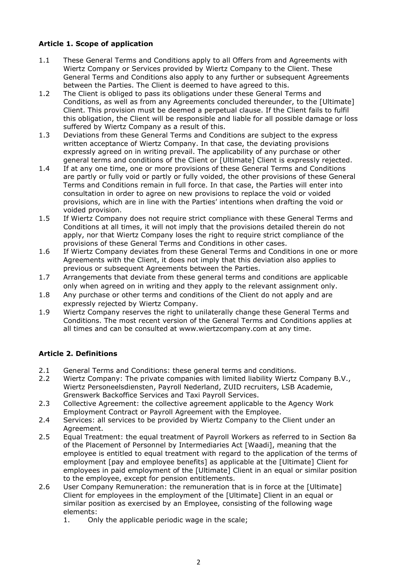# **Article 1. Scope of application**

- 1.1 These General Terms and Conditions apply to all Offers from and Agreements with Wiertz Company or Services provided by Wiertz Company to the Client. These General Terms and Conditions also apply to any further or subsequent Agreements between the Parties. The Client is deemed to have agreed to this.
- 1.2 The Client is obliged to pass its obligations under these General Terms and Conditions, as well as from any Agreements concluded thereunder, to the [Ultimate] Client. This provision must be deemed a perpetual clause. If the Client fails to fulfil this obligation, the Client will be responsible and liable for all possible damage or loss suffered by Wiertz Company as a result of this.
- 1.3 Deviations from these General Terms and Conditions are subject to the express written acceptance of Wiertz Company. In that case, the deviating provisions expressly agreed on in writing prevail. The applicability of any purchase or other general terms and conditions of the Client or [Ultimate] Client is expressly rejected.
- 1.4 If at any one time, one or more provisions of these General Terms and Conditions are partly or fully void or partly or fully voided, the other provisions of these General Terms and Conditions remain in full force. In that case, the Parties will enter into consultation in order to agree on new provisions to replace the void or voided provisions, which are in line with the Parties' intentions when drafting the void or voided provision.
- 1.5 If Wiertz Company does not require strict compliance with these General Terms and Conditions at all times, it will not imply that the provisions detailed therein do not apply, nor that Wiertz Company loses the right to require strict compliance of the provisions of these General Terms and Conditions in other cases.
- 1.6 If Wiertz Company deviates from these General Terms and Conditions in one or more Agreements with the Client, it does not imply that this deviation also applies to previous or subsequent Agreements between the Parties.
- 1.7 Arrangements that deviate from these general terms and conditions are applicable only when agreed on in writing and they apply to the relevant assignment only.
- 1.8 Any purchase or other terms and conditions of the Client do not apply and are expressly rejected by Wiertz Company.
- 1.9 Wiertz Company reserves the right to unilaterally change these General Terms and Conditions. The most recent version of the General Terms and Conditions applies at all times and can be consulted at www.wiertzcompany.com at any time.

# **Article 2. Definitions**

- 2.1 General Terms and Conditions: these general terms and conditions.
- 2.2 Wiertz Company: The private companies with limited liability Wiertz Company B.V., Wiertz Personeelsdiensten, Payroll Nederland, ZUID recruiters, LSB Academie, Grenswerk Backoffice Services and Taxi Payroll Services.
- 2.3 Collective Agreement: the collective agreement applicable to the Agency Work Employment Contract or Payroll Agreement with the Employee.
- 2.4 Services: all services to be provided by Wiertz Company to the Client under an Agreement.
- 2.5 Equal Treatment: the equal treatment of Payroll Workers as referred to in Section 8a of the Placement of Personnel by Intermediaries Act [Waadi], meaning that the employee is entitled to equal treatment with regard to the application of the terms of employment [pay and employee benefits] as applicable at the [Ultimate] Client for employees in paid employment of the [Ultimate] Client in an equal or similar position to the employee, except for pension entitlements.
- 2.6 User Company Remuneration: the remuneration that is in force at the [Ultimate] Client for employees in the employment of the [Ultimate] Client in an equal or similar position as exercised by an Employee, consisting of the following wage elements:
	- 1. Only the applicable periodic wage in the scale;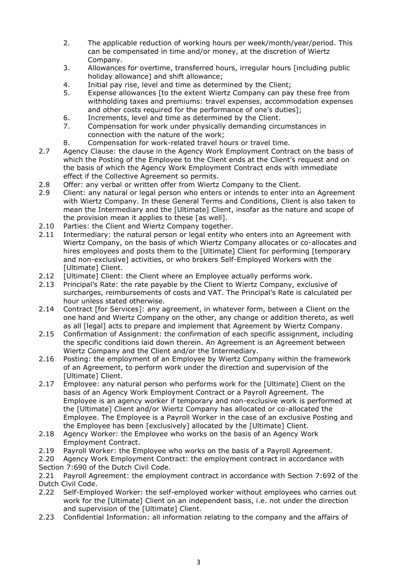- 2. The applicable reduction of working hours per week/month/year/period. This can be compensated in time and/or money, at the discretion of Wiertz Company.
- 3. Allowances for overtime, transferred hours, irregular hours [including public holiday allowance] and shift allowance;
- 4. Initial pay rise, level and time as determined by the Client;
- 5. Expense allowances [to the extent Wiertz Company can pay these free from withholding taxes and premiums: travel expenses, accommodation expenses and other costs required for the performance of one's duties];
- 6. Increments, level and time as determined by the Client.
- 7. Compensation for work under physically demanding circumstances in connection with the nature of the work;
- 8. Compensation for work-related travel hours or travel time.
- 2.7 Agency Clause: the clause in the Agency Work Employment Contract on the basis of which the Posting of the Employee to the Client ends at the Client's request and on the basis of which the Agency Work Employment Contract ends with immediate effect if the Collective Agreement so permits.
- 2.8 Offer: any verbal or written offer from Wiertz Company to the Client.
- 2.9 Client: any natural or legal person who enters or intends to enter into an Agreement with Wiertz Company. In these General Terms and Conditions, Client is also taken to mean the Intermediary and the [Ultimate] Client, insofar as the nature and scope of the provision mean it applies to these [as well].
- 2.10 Parties: the Client and Wiertz Company together.
- 2.11 Intermediary: the natural person or legal entity who enters into an Agreement with Wiertz Company, on the basis of which Wiertz Company allocates or co-allocates and hires employees and posts them to the [Ultimate] Client for performing [temporary and non-exclusive] activities, or who brokers Self-Employed Workers with the [Ultimate] Client.
- 2.12 [Ultimate] Client: the Client where an Employee actually performs work.
- 2.13 Principal's Rate: the rate payable by the Client to Wiertz Company, exclusive of surcharges, reimbursements of costs and VAT. The Principal's Rate is calculated per hour unless stated otherwise.
- 2.14 Contract [for Services]: any agreement, in whatever form, between a Client on the one hand and Wiertz Company on the other, any change or addition thereto, as well as all [legal] acts to prepare and implement that Agreement by Wiertz Company.
- 2.15 Confirmation of Assignment: the confirmation of each specific assignment, including the specific conditions laid down therein. An Agreement is an Agreement between Wiertz Company and the Client and/or the Intermediary.
- 2.16 Posting: the employment of an Employee by Wiertz Company within the framework of an Agreement, to perform work under the direction and supervision of the [Ultimate] Client.
- 2.17 Employee: any natural person who performs work for the [Ultimate] Client on the basis of an Agency Work Employment Contract or a Payroll Agreement. The Employee is an agency worker if temporary and non-exclusive work is performed at the [Ultimate] Client and/or Wiertz Company has allocated or co-allocated the Employee. The Employee is a Payroll Worker in the case of an exclusive Posting and the Employee has been [exclusively] allocated by the [Ultimate] Client.
- 2.18 Agency Worker: the Employee who works on the basis of an Agency Work Employment Contract.
- 2.19 Payroll Worker: the Employee who works on the basis of a Payroll Agreement.
- 2.20 Agency Work Employment Contract: the employment contract in accordance with
- Section 7:690 of the Dutch Civil Code.

2.21 Payroll Agreement: the employment contract in accordance with Section 7:692 of the Dutch Civil Code.

- 2.22 Self-Employed Worker: the self-employed worker without employees who carries out work for the [Ultimate] Client on an independent basis, i.e. not under the direction and supervision of the [Ultimate] Client.
- 2.23 Confidential Information: all information relating to the company and the affairs of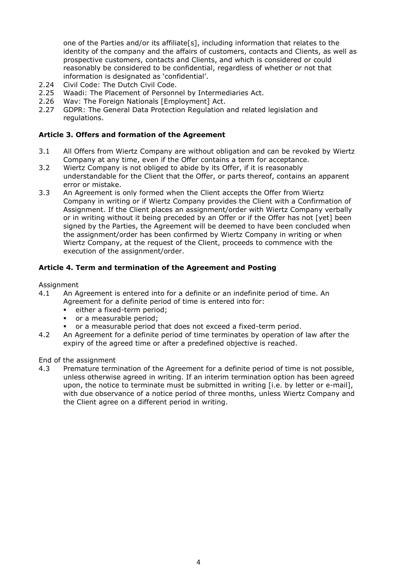one of the Parties and/or its affiliate[s], including information that relates to the identity of the company and the affairs of customers, contacts and Clients, as well as prospective customers, contacts and Clients, and which is considered or could reasonably be considered to be confidential, regardless of whether or not that information is designated as 'confidential'.

- 2.24 Civil Code: The Dutch Civil Code.
- 2.25 Waadi: The Placement of Personnel by Intermediaries Act.
- 2.26 Wav: The Foreign Nationals [Employment] Act.
- 2.27 GDPR: The General Data Protection Regulation and related legislation and regulations.

#### **Article 3. Offers and formation of the Agreement**

- 3.1 All Offers from Wiertz Company are without obligation and can be revoked by Wiertz Company at any time, even if the Offer contains a term for acceptance.
- 3.2 Wiertz Company is not obliged to abide by its Offer, if it is reasonably understandable for the Client that the Offer, or parts thereof, contains an apparent error or mistake.
- 3.3 An Agreement is only formed when the Client accepts the Offer from Wiertz Company in writing or if Wiertz Company provides the Client with a Confirmation of Assignment. If the Client places an assignment/order with Wiertz Company verbally or in writing without it being preceded by an Offer or if the Offer has not [yet] been signed by the Parties, the Agreement will be deemed to have been concluded when the assignment/order has been confirmed by Wiertz Company in writing or when Wiertz Company, at the request of the Client, proceeds to commence with the execution of the assignment/order.

#### **Article 4. Term and termination of the Agreement and Posting**

#### **Assignment**

- 4.1 An Agreement is entered into for a definite or an indefinite period of time. An Agreement for a definite period of time is entered into for:
	- either a fixed-term period;
	- or a measurable period;
	- or a measurable period that does not exceed a fixed-term period.
- 4.2 An Agreement for a definite period of time terminates by operation of law after the expiry of the agreed time or after a predefined objective is reached.

#### End of the assignment

4.3 Premature termination of the Agreement for a definite period of time is not possible, unless otherwise agreed in writing. If an interim termination option has been agreed upon, the notice to terminate must be submitted in writing [i.e. by letter or e-mail], with due observance of a notice period of three months, unless Wiertz Company and the Client agree on a different period in writing.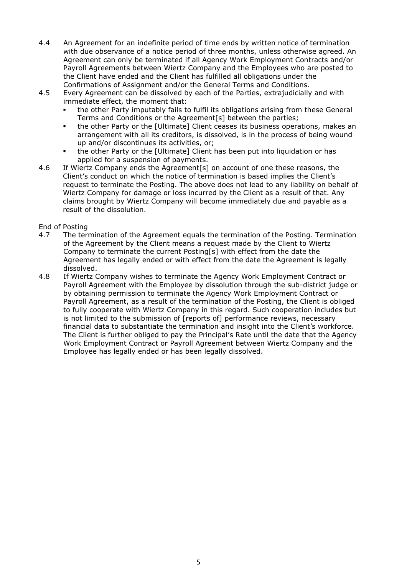- 4.4 An Agreement for an indefinite period of time ends by written notice of termination with due observance of a notice period of three months, unless otherwise agreed. An Agreement can only be terminated if all Agency Work Employment Contracts and/or Payroll Agreements between Wiertz Company and the Employees who are posted to the Client have ended and the Client has fulfilled all obligations under the Confirmations of Assignment and/or the General Terms and Conditions.
- 4.5 Every Agreement can be dissolved by each of the Parties, extrajudicially and with immediate effect, the moment that:
	- the other Party imputably fails to fulfil its obligations arising from these General Terms and Conditions or the Agreement[s] between the parties;
	- the other Party or the [Ultimate] Client ceases its business operations, makes an arrangement with all its creditors, is dissolved, is in the process of being wound up and/or discontinues its activities, or;
	- the other Party or the [Ultimate] Client has been put into liquidation or has applied for a suspension of payments.
- 4.6 If Wiertz Company ends the Agreement[s] on account of one these reasons, the Client's conduct on which the notice of termination is based implies the Client's request to terminate the Posting. The above does not lead to any liability on behalf of Wiertz Company for damage or loss incurred by the Client as a result of that. Any claims brought by Wiertz Company will become immediately due and payable as a result of the dissolution.

End of Posting

- 4.7 The termination of the Agreement equals the termination of the Posting. Termination of the Agreement by the Client means a request made by the Client to Wiertz Company to terminate the current Posting[s] with effect from the date the Agreement has legally ended or with effect from the date the Agreement is legally dissolved.
- 4.8 If Wiertz Company wishes to terminate the Agency Work Employment Contract or Payroll Agreement with the Employee by dissolution through the sub-district judge or by obtaining permission to terminate the Agency Work Employment Contract or Payroll Agreement, as a result of the termination of the Posting, the Client is obliged to fully cooperate with Wiertz Company in this regard. Such cooperation includes but is not limited to the submission of [reports of] performance reviews, necessary financial data to substantiate the termination and insight into the Client's workforce. The Client is further obliged to pay the Principal's Rate until the date that the Agency Work Employment Contract or Payroll Agreement between Wiertz Company and the Employee has legally ended or has been legally dissolved.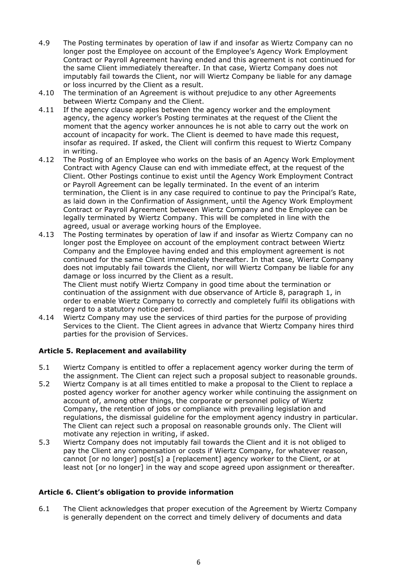- 4.9 The Posting terminates by operation of law if and insofar as Wiertz Company can no longer post the Employee on account of the Employee's Agency Work Employment Contract or Payroll Agreement having ended and this agreement is not continued for the same Client immediately thereafter. In that case, Wiertz Company does not imputably fail towards the Client, nor will Wiertz Company be liable for any damage or loss incurred by the Client as a result.
- 4.10 The termination of an Agreement is without prejudice to any other Agreements between Wiertz Company and the Client.
- 4.11 If the agency clause applies between the agency worker and the employment agency, the agency worker's Posting terminates at the request of the Client the moment that the agency worker announces he is not able to carry out the work on account of incapacity for work. The Client is deemed to have made this request, insofar as required. If asked, the Client will confirm this request to Wiertz Company in writing.
- 4.12 The Posting of an Employee who works on the basis of an Agency Work Employment Contract with Agency Clause can end with immediate effect, at the request of the Client. Other Postings continue to exist until the Agency Work Employment Contract or Payroll Agreement can be legally terminated. In the event of an interim termination, the Client is in any case required to continue to pay the Principal's Rate, as laid down in the Confirmation of Assignment, until the Agency Work Employment Contract or Payroll Agreement between Wiertz Company and the Employee can be legally terminated by Wiertz Company. This will be completed in line with the agreed, usual or average working hours of the Employee.
- 4.13 The Posting terminates by operation of law if and insofar as Wiertz Company can no longer post the Employee on account of the employment contract between Wiertz Company and the Employee having ended and this employment agreement is not continued for the same Client immediately thereafter. In that case, Wiertz Company does not imputably fail towards the Client, nor will Wiertz Company be liable for any damage or loss incurred by the Client as a result. The Client must notify Wiertz Company in good time about the termination or

continuation of the assignment with due observance of Article 8, paragraph 1, in order to enable Wiertz Company to correctly and completely fulfil its obligations with regard to a statutory notice period.

4.14 Wiertz Company may use the services of third parties for the purpose of providing Services to the Client. The Client agrees in advance that Wiertz Company hires third parties for the provision of Services.

# **Article 5. Replacement and availability**

- 5.1 Wiertz Company is entitled to offer a replacement agency worker during the term of the assignment. The Client can reject such a proposal subject to reasonable grounds.
- 5.2 Wiertz Company is at all times entitled to make a proposal to the Client to replace a posted agency worker for another agency worker while continuing the assignment on account of, among other things, the corporate or personnel policy of Wiertz Company, the retention of jobs or compliance with prevailing legislation and regulations, the dismissal guideline for the employment agency industry in particular. The Client can reject such a proposal on reasonable grounds only. The Client will motivate any rejection in writing, if asked.
- 5.3 Wiertz Company does not imputably fail towards the Client and it is not obliged to pay the Client any compensation or costs if Wiertz Company, for whatever reason, cannot [or no longer] post[s] a [replacement] agency worker to the Client, or at least not [or no longer] in the way and scope agreed upon assignment or thereafter.

# **Article 6. Client's obligation to provide information**

6.1 The Client acknowledges that proper execution of the Agreement by Wiertz Company is generally dependent on the correct and timely delivery of documents and data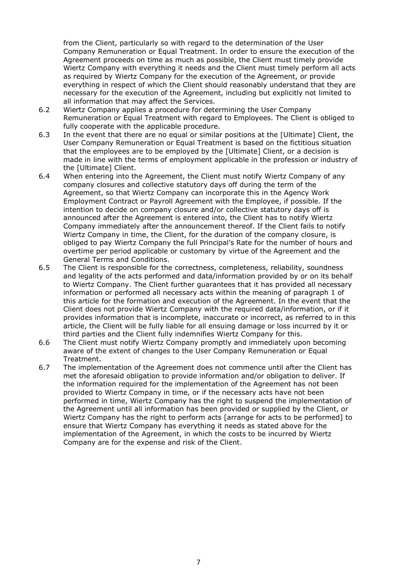from the Client, particularly so with regard to the determination of the User Company Remuneration or Equal Treatment. In order to ensure the execution of the Agreement proceeds on time as much as possible, the Client must timely provide Wiertz Company with everything it needs and the Client must timely perform all acts as required by Wiertz Company for the execution of the Agreement, or provide everything in respect of which the Client should reasonably understand that they are necessary for the execution of the Agreement, including but explicitly not limited to all information that may affect the Services.

- 6.2 Wiertz Company applies a procedure for determining the User Company Remuneration or Equal Treatment with regard to Employees. The Client is obliged to fully cooperate with the applicable procedure.
- 6.3 In the event that there are no equal or similar positions at the [Ultimate] Client, the User Company Remuneration or Equal Treatment is based on the fictitious situation that the employees are to be employed by the [Ultimate] Client, or a decision is made in line with the terms of employment applicable in the profession or industry of the [Ultimate] Client.
- 6.4 When entering into the Agreement, the Client must notify Wiertz Company of any company closures and collective statutory days off during the term of the Agreement, so that Wiertz Company can incorporate this in the Agency Work Employment Contract or Payroll Agreement with the Employee, if possible. If the intention to decide on company closure and/or collective statutory days off is announced after the Agreement is entered into, the Client has to notify Wiertz Company immediately after the announcement thereof. If the Client fails to notify Wiertz Company in time, the Client, for the duration of the company closure, is obliged to pay Wiertz Company the full Principal's Rate for the number of hours and overtime per period applicable or customary by virtue of the Agreement and the General Terms and Conditions.
- 6.5 The Client is responsible for the correctness, completeness, reliability, soundness and legality of the acts performed and data/information provided by or on its behalf to Wiertz Company. The Client further guarantees that it has provided all necessary information or performed all necessary acts within the meaning of paragraph 1 of this article for the formation and execution of the Agreement. In the event that the Client does not provide Wiertz Company with the required data/information, or if it provides information that is incomplete, inaccurate or incorrect, as referred to in this article, the Client will be fully liable for all ensuing damage or loss incurred by it or third parties and the Client fully indemnifies Wiertz Company for this.
- 6.6 The Client must notify Wiertz Company promptly and immediately upon becoming aware of the extent of changes to the User Company Remuneration or Equal Treatment.
- 6.7 The implementation of the Agreement does not commence until after the Client has met the aforesaid obligation to provide information and/or obligation to deliver. If the information required for the implementation of the Agreement has not been provided to Wiertz Company in time, or if the necessary acts have not been performed in time, Wiertz Company has the right to suspend the implementation of the Agreement until all information has been provided or supplied by the Client, or Wiertz Company has the right to perform acts [arrange for acts to be performed] to ensure that Wiertz Company has everything it needs as stated above for the implementation of the Agreement, in which the costs to be incurred by Wiertz Company are for the expense and risk of the Client.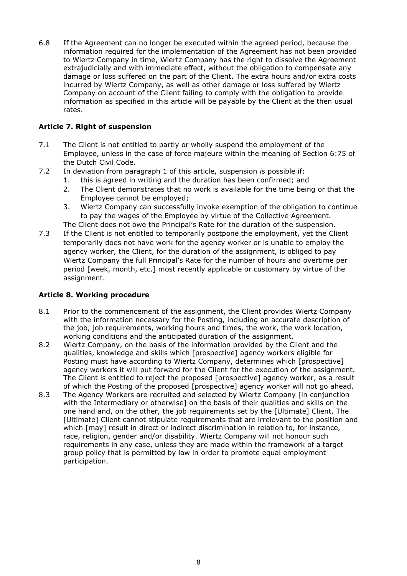6.8 If the Agreement can no longer be executed within the agreed period, because the information required for the implementation of the Agreement has not been provided to Wiertz Company in time, Wiertz Company has the right to dissolve the Agreement extrajudicially and with immediate effect, without the obligation to compensate any damage or loss suffered on the part of the Client. The extra hours and/or extra costs incurred by Wiertz Company, as well as other damage or loss suffered by Wiertz Company on account of the Client failing to comply with the obligation to provide information as specified in this article will be payable by the Client at the then usual rates.

# **Article 7. Right of suspension**

- 7.1 The Client is not entitled to partly or wholly suspend the employment of the Employee, unless in the case of force majeure within the meaning of Section 6:75 of the Dutch Civil Code.
- 7.2 In deviation from paragraph 1 of this article, suspension *is* possible if:
	- 1. this is agreed in writing and the duration has been confirmed; and
	- 2. The Client demonstrates that no work is available for the time being or that the Employee cannot be employed;
	- 3. Wiertz Company can successfully invoke exemption of the obligation to continue to pay the wages of the Employee by virtue of the Collective Agreement.

The Client does not owe the Principal's Rate for the duration of the suspension.

7.3 If the Client is not entitled to temporarily postpone the employment, yet the Client temporarily does not have work for the agency worker or is unable to employ the agency worker, the Client, for the duration of the assignment, is obliged to pay Wiertz Company the full Principal's Rate for the number of hours and overtime per period [week, month, etc.] most recently applicable or customary by virtue of the assignment.

# **Article 8. Working procedure**

- 8.1 Prior to the commencement of the assignment, the Client provides Wiertz Company with the information necessary for the Posting, including an accurate description of the job, job requirements, working hours and times, the work, the work location, working conditions and the anticipated duration of the assignment.
- 8.2 Wiertz Company, on the basis of the information provided by the Client and the qualities, knowledge and skills which [prospective] agency workers eligible for Posting must have according to Wiertz Company, determines which [prospective] agency workers it will put forward for the Client for the execution of the assignment. The Client is entitled to reject the proposed [prospective] agency worker, as a result of which the Posting of the proposed [prospective] agency worker will not go ahead.
- 8.3 The Agency Workers are recruited and selected by Wiertz Company [in conjunction with the Intermediary or otherwise] on the basis of their qualities and skills on the one hand and, on the other, the job requirements set by the [Ultimate] Client. The [Ultimate] Client cannot stipulate requirements that are irrelevant to the position and which [may] result in direct or indirect discrimination in relation to, for instance, race, religion, gender and/or disability. Wiertz Company will not honour such requirements in any case, unless they are made within the framework of a target group policy that is permitted by law in order to promote equal employment participation.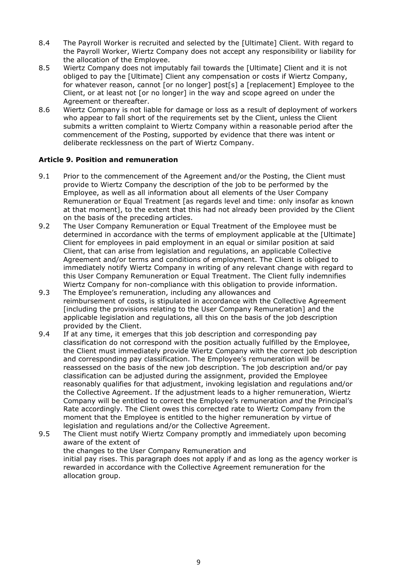- 8.4 The Payroll Worker is recruited and selected by the [Ultimate] Client. With regard to the Payroll Worker, Wiertz Company does not accept any responsibility or liability for the allocation of the Employee.
- 8.5 Wiertz Company does not imputably fail towards the [Ultimate] Client and it is not obliged to pay the [Ultimate] Client any compensation or costs if Wiertz Company, for whatever reason, cannot [or no longer] post[s] a [replacement] Employee to the Client, or at least not [or no longer] in the way and scope agreed on under the Agreement or thereafter.
- 8.6 Wiertz Company is not liable for damage or loss as a result of deployment of workers who appear to fall short of the requirements set by the Client, unless the Client submits a written complaint to Wiertz Company within a reasonable period after the commencement of the Posting, supported by evidence that there was intent or deliberate recklessness on the part of Wiertz Company.

# **Article 9. Position and remuneration**

- 9.1 Prior to the commencement of the Agreement and/or the Posting, the Client must provide to Wiertz Company the description of the job to be performed by the Employee, as well as all information about all elements of the User Company Remuneration or Equal Treatment [as regards level and time: only insofar as known at that moment], to the extent that this had not already been provided by the Client on the basis of the preceding articles.
- 9.2 The User Company Remuneration or Equal Treatment of the Employee must be determined in accordance with the terms of employment applicable at the [Ultimate] Client for employees in paid employment in an equal or similar position at said Client, that can arise from legislation and regulations, an applicable Collective Agreement and/or terms and conditions of employment. The Client is obliged to immediately notify Wiertz Company in writing of any relevant change with regard to this User Company Remuneration or Equal Treatment. The Client fully indemnifies Wiertz Company for non-compliance with this obligation to provide information.
- 9.3 The Employee's remuneration, including any allowances and reimbursement of costs, is stipulated in accordance with the Collective Agreement [including the provisions relating to the User Company Remuneration] and the applicable legislation and regulations, all this on the basis of the job description provided by the Client.
- 9.4 If at any time, it emerges that this job description and corresponding pay classification do not correspond with the position actually fulfilled by the Employee, the Client must immediately provide Wiertz Company with the correct job description and corresponding pay classification. The Employee's remuneration will be reassessed on the basis of the new job description. The job description and/or pay classification can be adjusted during the assignment, provided the Employee reasonably qualifies for that adjustment, invoking legislation and regulations and/or the Collective Agreement. If the adjustment leads to a higher remuneration, Wiertz Company will be entitled to correct the Employee's remuneration *and* the Principal's Rate accordingly. The Client owes this corrected rate to Wiertz Company from the moment that the Employee is entitled to the higher remuneration by virtue of legislation and regulations and/or the Collective Agreement.
- 9.5 The Client must notify Wiertz Company promptly and immediately upon becoming aware of the extent of the changes to the User Company Remuneration and initial pay rises. This paragraph does not apply if and as long as the agency worker is rewarded in accordance with the Collective Agreement remuneration for the allocation group.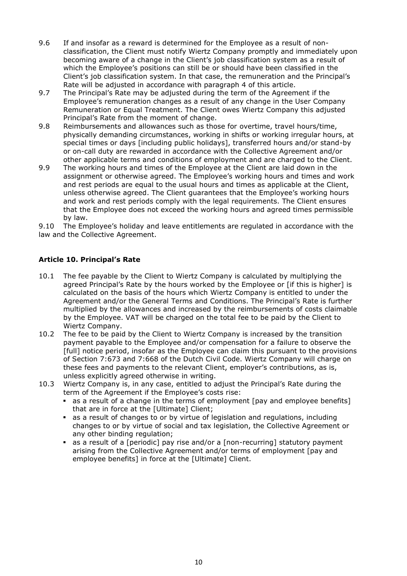- 9.6 If and insofar as a reward is determined for the Employee as a result of nonclassification, the Client must notify Wiertz Company promptly and immediately upon becoming aware of a change in the Client's job classification system as a result of which the Employee's positions can still be or should have been classified in the Client's job classification system. In that case, the remuneration and the Principal's Rate will be adiusted in accordance with paragraph 4 of this article.
- 9.7 The Principal's Rate may be adjusted during the term of the Agreement if the Employee's remuneration changes as a result of any change in the User Company Remuneration or Equal Treatment. The Client owes Wiertz Company this adjusted Principal's Rate from the moment of change.
- 9.8 Reimbursements and allowances such as those for overtime, travel hours/time, physically demanding circumstances, working in shifts or working irregular hours, at special times or days [including public holidays], transferred hours and/or stand-by or on-call duty are rewarded in accordance with the Collective Agreement and/or other applicable terms and conditions of employment and are charged to the Client.
- 9.9 The working hours and times of the Employee at the Client are laid down in the assignment or otherwise agreed. The Employee's working hours and times and work and rest periods are equal to the usual hours and times as applicable at the Client, unless otherwise agreed. The Client guarantees that the Employee's working hours and work and rest periods comply with the legal requirements. The Client ensures that the Employee does not exceed the working hours and agreed times permissible by law.

9.10 The Employee's holiday and leave entitlements are regulated in accordance with the law and the Collective Agreement.

# **Article 10. Principal's Rate**

- 10.1 The fee payable by the Client to Wiertz Company is calculated by multiplying the agreed Principal's Rate by the hours worked by the Employee or [if this is higher] is calculated on the basis of the hours which Wiertz Company is entitled to under the Agreement and/or the General Terms and Conditions. The Principal's Rate is further multiplied by the allowances and increased by the reimbursements of costs claimable by the Employee. VAT will be charged on the total fee to be paid by the Client to Wiertz Company.
- 10.2 The fee to be paid by the Client to Wiertz Company is increased by the transition payment payable to the Employee and/or compensation for a failure to observe the [full] notice period, insofar as the Employee can claim this pursuant to the provisions of Section 7:673 and 7:668 of the Dutch Civil Code. Wiertz Company will charge on these fees and payments to the relevant Client, employer's contributions, as is, unless explicitly agreed otherwise in writing.
- 10.3 Wiertz Company is, in any case, entitled to adjust the Principal's Rate during the term of the Agreement if the Employee's costs rise:
	- as a result of a change in the terms of employment [pay and employee benefits] that are in force at the [Ultimate] Client;
	- as a result of changes to or by virtue of legislation and regulations, including changes to or by virtue of social and tax legislation, the Collective Agreement or any other binding regulation;
	- **EX as a result of a [periodic] pay rise and/or a [non-recurring] statutory payment** arising from the Collective Agreement and/or terms of employment [pay and employee benefits] in force at the [Ultimate] Client.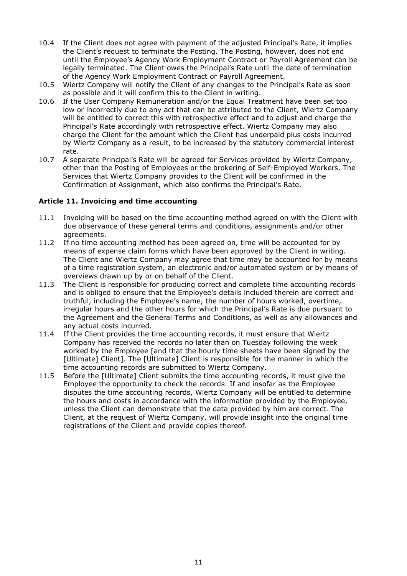- 10.4 If the Client does not agree with payment of the adjusted Principal's Rate, it implies the Client's request to terminate the Posting. The Posting, however, does not end until the Employee's Agency Work Employment Contract or Payroll Agreement can be legally terminated. The Client owes the Principal's Rate until the date of termination of the Agency Work Employment Contract or Payroll Agreement.
- 10.5 Wiertz Company will notify the Client of any changes to the Principal's Rate as soon as possible and it will confirm this to the Client in writing.
- 10.6 If the User Company Remuneration and/or the Equal Treatment have been set too low or incorrectly due to any act that can be attributed to the Client, Wiertz Company will be entitled to correct this with retrospective effect and to adjust and charge the Principal's Rate accordingly with retrospective effect. Wiertz Company may also charge the Client for the amount which the Client has underpaid plus costs incurred by Wiertz Company as a result, to be increased by the statutory commercial interest rate.
- 10.7 A separate Principal's Rate will be agreed for Services provided by Wiertz Company, other than the Posting of Employees or the brokering of Self-Employed Workers. The Services that Wiertz Company provides to the Client will be confirmed in the Confirmation of Assignment, which also confirms the Principal's Rate.

# **Article 11. Invoicing and time accounting**

- 11.1 Invoicing will be based on the time accounting method agreed on with the Client with due observance of these general terms and conditions, assignments and/or other agreements.
- 11.2 If no time accounting method has been agreed on, time will be accounted for by means of expense claim forms which have been approved by the Client in writing. The Client and Wiertz Company may agree that time may be accounted for by means of a time registration system, an electronic and/or automated system or by means of overviews drawn up by or on behalf of the Client.
- 11.3 The Client is responsible for producing correct and complete time accounting records and is obliged to ensure that the Employee's details included therein are correct and truthful, including the Employee's name, the number of hours worked, overtime, irregular hours and the other hours for which the Principal's Rate is due pursuant to the Agreement and the General Terms and Conditions, as well as any allowances and any actual costs incurred.
- 11.4 If the Client provides the time accounting records, it must ensure that Wiertz Company has received the records no later than on Tuesday following the week worked by the Employee [and that the hourly time sheets have been signed by the [Ultimate] Client]. The [Ultimate] Client is responsible for the manner in which the time accounting records are submitted to Wiertz Company.
- 11.5 Before the [Ultimate] Client submits the time accounting records, it must give the Employee the opportunity to check the records. If and insofar as the Employee disputes the time accounting records, Wiertz Company will be entitled to determine the hours and costs in accordance with the information provided by the Employee, unless the Client can demonstrate that the data provided by him are correct. The Client, at the request of Wiertz Company, will provide insight into the original time registrations of the Client and provide copies thereof.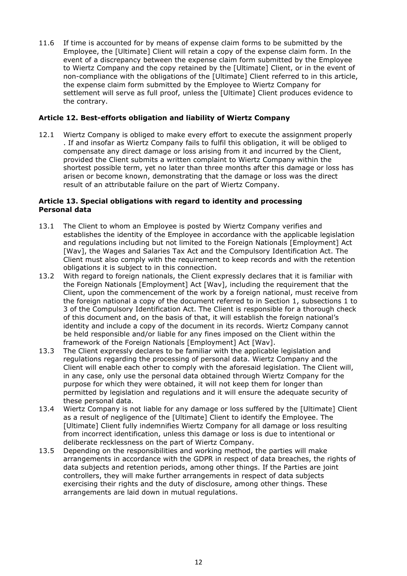11.6 If time is accounted for by means of expense claim forms to be submitted by the Employee, the [Ultimate] Client will retain a copy of the expense claim form. In the event of a discrepancy between the expense claim form submitted by the Employee to Wiertz Company and the copy retained by the [Ultimate] Client, or in the event of non-compliance with the obligations of the [Ultimate] Client referred to in this article, the expense claim form submitted by the Employee to Wiertz Company for settlement will serve as full proof, unless the [Ultimate] Client produces evidence to the contrary.

### **Article 12. Best-efforts obligation and liability of Wiertz Company**

12.1 Wiertz Company is obliged to make every effort to execute the assignment properly . If and insofar as Wiertz Company fails to fulfil this obligation, it will be obliged to compensate any direct damage or loss arising from it and incurred by the Client, provided the Client submits a written complaint to Wiertz Company within the shortest possible term, yet no later than three months after this damage or loss has arisen or become known, demonstrating that the damage or loss was the direct result of an attributable failure on the part of Wiertz Company.

#### **Article 13. Special obligations with regard to identity and processing Personal data**

- 13.1 The Client to whom an Employee is posted by Wiertz Company verifies and establishes the identity of the Employee in accordance with the applicable legislation and regulations including but not limited to the Foreign Nationals [Employment] Act [Wav], the Wages and Salaries Tax Act and the Compulsory Identification Act. The Client must also comply with the requirement to keep records and with the retention obligations it is subject to in this connection.
- 13.2 With regard to foreign nationals, the Client expressly declares that it is familiar with the Foreign Nationals [Employment] Act [Wav], including the requirement that the Client, upon the commencement of the work by a foreign national, must receive from the foreign national a copy of the document referred to in Section 1, subsections 1 to 3 of the Compulsory Identification Act. The Client is responsible for a thorough check of this document and, on the basis of that, it will establish the foreign national's identity and include a copy of the document in its records. Wiertz Company cannot be held responsible and/or liable for any fines imposed on the Client within the framework of the Foreign Nationals [Employment] Act [Wav].
- 13.3 The Client expressly declares to be familiar with the applicable legislation and regulations regarding the processing of personal data. Wiertz Company and the Client will enable each other to comply with the aforesaid legislation. The Client will, in any case, only use the personal data obtained through Wiertz Company for the purpose for which they were obtained, it will not keep them for longer than permitted by legislation and regulations and it will ensure the adequate security of these personal data.
- 13.4 Wiertz Company is not liable for any damage or loss suffered by the [Ultimate] Client as a result of negligence of the [Ultimate] Client to identify the Employee. The [Ultimate] Client fully indemnifies Wiertz Company for all damage or loss resulting from incorrect identification, unless this damage or loss is due to intentional or deliberate recklessness on the part of Wiertz Company.
- 13.5 Depending on the responsibilities and working method, the parties will make arrangements in accordance with the GDPR in respect of data breaches, the rights of data subjects and retention periods, among other things. If the Parties are joint controllers, they will make further arrangements in respect of data subjects exercising their rights and the duty of disclosure, among other things. These arrangements are laid down in mutual regulations.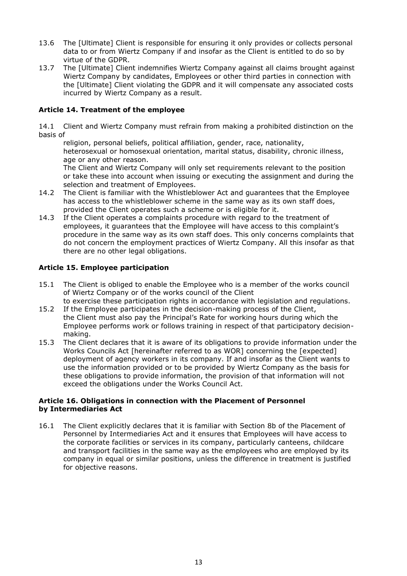- 13.6 The [Ultimate] Client is responsible for ensuring it only provides or collects personal data to or from Wiertz Company if and insofar as the Client is entitled to do so by virtue of the GDPR.
- 13.7 The [Ultimate] Client indemnifies Wiertz Company against all claims brought against Wiertz Company by candidates, Employees or other third parties in connection with the [Ultimate] Client violating the GDPR and it will compensate any associated costs incurred by Wiertz Company as a result.

# **Article 14. Treatment of the employee**

14.1 Client and Wiertz Company must refrain from making a prohibited distinction on the basis of

religion, personal beliefs, political affiliation, gender, race, nationality, heterosexual or homosexual orientation, marital status, disability, chronic illness, age or any other reason.

The Client and Wiertz Company will only set requirements relevant to the position or take these into account when issuing or executing the assignment and during the selection and treatment of Employees.

- 14.2 The Client is familiar with the Whistleblower Act and guarantees that the Employee has access to the whistleblower scheme in the same way as its own staff does, provided the Client operates such a scheme or is eligible for it.
- 14.3 If the Client operates a complaints procedure with regard to the treatment of employees, it guarantees that the Employee will have access to this complaint's procedure in the same way as its own staff does. This only concerns complaints that do not concern the employment practices of Wiertz Company. All this insofar as that there are no other legal obligations.

#### **Article 15. Employee participation**

- 15.1 The Client is obliged to enable the Employee who is a member of the works council of Wiertz Company or of the works council of the Client to exercise these participation rights in accordance with legislation and regulations.
- 15.2 If the Employee participates in the decision-making process of the Client, the Client must also pay the Principal's Rate for working hours during which the Employee performs work or follows training in respect of that participatory decisionmaking.
- 15.3 The Client declares that it is aware of its obligations to provide information under the Works Councils Act [hereinafter referred to as WOR] concerning the [expected] deployment of agency workers in its company. If and insofar as the Client wants to use the information provided or to be provided by Wiertz Company as the basis for these obligations to provide information, the provision of that information will not exceed the obligations under the Works Council Act.

#### **Article 16. Obligations in connection with the Placement of Personnel by Intermediaries Act**

16.1 The Client explicitly declares that it is familiar with Section 8b of the Placement of Personnel by Intermediaries Act and it ensures that Employees will have access to the corporate facilities or services in its company, particularly canteens, childcare and transport facilities in the same way as the employees who are employed by its company in equal or similar positions, unless the difference in treatment is justified for objective reasons.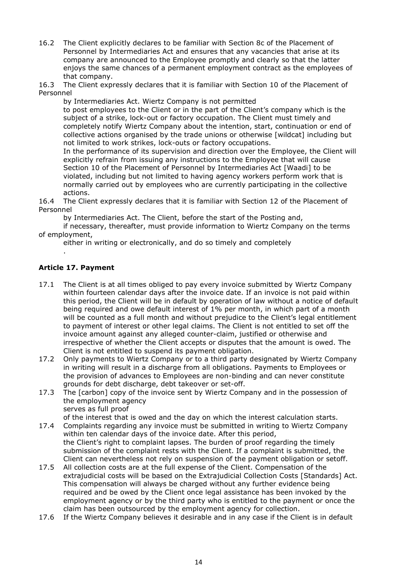16.2 The Client explicitly declares to be familiar with Section 8c of the Placement of Personnel by Intermediaries Act and ensures that any vacancies that arise at its company are announced to the Employee promptly and clearly so that the latter enjoys the same chances of a permanent employment contract as the employees of that company.

16.3 The Client expressly declares that it is familiar with Section 10 of the Placement of Personnel

by Intermediaries Act. Wiertz Company is not permitted to post employees to the Client or in the part of the Client's company which is the subject of a strike, lock-out or factory occupation. The Client must timely and completely notify Wiertz Company about the intention, start, continuation or end of collective actions organised by the trade unions or otherwise [wildcat] including but not limited to work strikes, lock-outs or factory occupations.

In the performance of its supervision and direction over the Employee, the Client will explicitly refrain from issuing any instructions to the Employee that will cause Section 10 of the Placement of Personnel by Intermediaries Act [Waadi] to be violated, including but not limited to having agency workers perform work that is normally carried out by employees who are currently participating in the collective actions.

16.4 The Client expressly declares that it is familiar with Section 12 of the Placement of Personnel

by Intermediaries Act. The Client, before the start of the Posting and,

if necessary, thereafter, must provide information to Wiertz Company on the terms of employment,

either in writing or electronically, and do so timely and completely

# **Article 17. Payment**

.

- 17.1 The Client is at all times obliged to pay every invoice submitted by Wiertz Company within fourteen calendar days after the invoice date. If an invoice is not paid within this period, the Client will be in default by operation of law without a notice of default being required and owe default interest of 1% per month, in which part of a month will be counted as a full month and without prejudice to the Client's legal entitlement to payment of interest or other legal claims. The Client is not entitled to set off the invoice amount against any alleged counter-claim, justified or otherwise and irrespective of whether the Client accepts or disputes that the amount is owed. The Client is not entitled to suspend its payment obligation.
- 17.2 Only payments to Wiertz Company or to a third party designated by Wiertz Company in writing will result in a discharge from all obligations. Payments to Employees or the provision of advances to Employees are non-binding and can never constitute grounds for debt discharge, debt takeover or set-off.
- 17.3 The [carbon] copy of the invoice sent by Wiertz Company and in the possession of the employment agency serves as full proof

of the interest that is owed and the day on which the interest calculation starts.

- 17.4 Complaints regarding any invoice must be submitted in writing to Wiertz Company within ten calendar days of the invoice date. After this period, the Client's right to complaint lapses. The burden of proof regarding the timely submission of the complaint rests with the Client. If a complaint is submitted, the Client can nevertheless not rely on suspension of the payment obligation or setoff.
- 17.5 All collection costs are at the full expense of the Client. Compensation of the extrajudicial costs will be based on the Extrajudicial Collection Costs [Standards] Act. This compensation will always be charged without any further evidence being required and be owed by the Client once legal assistance has been invoked by the employment agency or by the third party who is entitled to the payment or once the claim has been outsourced by the employment agency for collection.
- 17.6 If the Wiertz Company believes it desirable and in any case if the Client is in default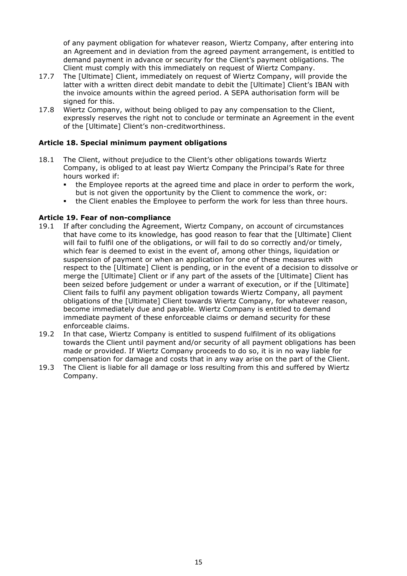of any payment obligation for whatever reason, Wiertz Company, after entering into an Agreement and in deviation from the agreed payment arrangement, is entitled to demand payment in advance or security for the Client's payment obligations. The Client must comply with this immediately on request of Wiertz Company.

- 17.7 The [Ultimate] Client, immediately on request of Wiertz Company, will provide the latter with a written direct debit mandate to debit the [Ultimate] Client's IBAN with the invoice amounts within the agreed period. A SEPA authorisation form will be signed for this.
- 17.8 Wiertz Company, without being obliged to pay any compensation to the Client, expressly reserves the right not to conclude or terminate an Agreement in the event of the [Ultimate] Client's non-creditworthiness.

# **Article 18. Special minimum payment obligations**

- 18.1 The Client, without prejudice to the Client's other obligations towards Wiertz Company, is obliged to at least pay Wiertz Company the Principal's Rate for three hours worked if:
	- the Employee reports at the agreed time and place in order to perform the work, but is not given the opportunity by the Client to commence the work, or:
	- the Client enables the Employee to perform the work for less than three hours.

#### **Article 19. Fear of non-compliance**

- 19.1 If after concluding the Agreement, Wiertz Company, on account of circumstances that have come to its knowledge, has good reason to fear that the [Ultimate] Client will fail to fulfil one of the obligations, or will fail to do so correctly and/or timely, which fear is deemed to exist in the event of, among other things, liquidation or suspension of payment or when an application for one of these measures with respect to the [Ultimate] Client is pending, or in the event of a decision to dissolve or merge the [Ultimate] Client or if any part of the assets of the [Ultimate] Client has been seized before judgement or under a warrant of execution, or if the [Ultimate] Client fails to fulfil any payment obligation towards Wiertz Company, all payment obligations of the [Ultimate] Client towards Wiertz Company, for whatever reason, become immediately due and payable. Wiertz Company is entitled to demand immediate payment of these enforceable claims or demand security for these enforceable claims.
- 19.2 In that case, Wiertz Company is entitled to suspend fulfilment of its obligations towards the Client until payment and/or security of all payment obligations has been made or provided. If Wiertz Company proceeds to do so, it is in no way liable for compensation for damage and costs that in any way arise on the part of the Client.
- 19.3 The Client is liable for all damage or loss resulting from this and suffered by Wiertz Company.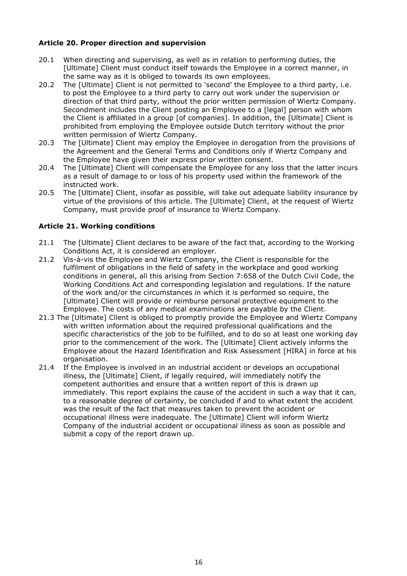# **Article 20. Proper direction and supervision**

- 20.1 When directing and supervising, as well as in relation to performing duties, the [Ultimate] Client must conduct itself towards the Employee in a correct manner, in the same way as it is obliged to towards its own employees.
- 20.2 The [Ultimate] Client is not permitted to 'second' the Employee to a third party, i.e. to post the Employee to a third party to carry out work under the supervision or direction of that third party, without the prior written permission of Wiertz Company. Secondment includes the Client posting an Employee to a [legal] person with whom the Client is affiliated in a group [of companies]. In addition, the [Ultimate] Client is prohibited from employing the Employee outside Dutch territory without the prior written permission of Wiertz Company.
- 20.3 The [Ultimate] Client may employ the Employee in derogation from the provisions of the Agreement and the General Terms and Conditions only if Wiertz Company and the Employee have given their express prior written consent.
- 20.4 The [Ultimate] Client will compensate the Employee for any loss that the latter incurs as a result of damage to or loss of his property used within the framework of the instructed work.
- 20.5 The [Ultimate] Client, insofar as possible, will take out adequate liability insurance by virtue of the provisions of this article. The [Ultimate] Client, at the request of Wiertz Company, must provide proof of insurance to Wiertz Company.

# **Article 21. Working conditions**

- 21.1 The [Ultimate] Client declares to be aware of the fact that, according to the Working Conditions Act, it is considered an employer.
- 21.2 Vis-à-vis the Employee and Wiertz Company, the Client is responsible for the fulfilment of obligations in the field of safety in the workplace and good working conditions in general, all this arising from Section 7:658 of the Dutch Civil Code, the Working Conditions Act and corresponding legislation and regulations. If the nature of the work and/or the circumstances in which it is performed so require, the [Ultimate] Client will provide or reimburse personal protective equipment to the Employee. The costs of any medical examinations are payable by the Client.
- 21.3 The [Ultimate] Client is obliged to promptly provide the Employee and Wiertz Company with written information about the required professional qualifications and the specific characteristics of the job to be fulfilled, and to do so at least one working day prior to the commencement of the work. The [Ultimate] Client actively informs the Employee about the Hazard Identification and Risk Assessment [HIRA] in force at his organisation.
- 21.4 If the Employee is involved in an industrial accident or develops an occupational illness, the [Ultimate] Client, if legally required, will immediately notify the competent authorities and ensure that a written report of this is drawn up immediately. This report explains the cause of the accident in such a way that it can, to a reasonable degree of certainty, be concluded if and to what extent the accident was the result of the fact that measures taken to prevent the accident or occupational illness were inadequate. The [Ultimate] Client will inform Wiertz Company of the industrial accident or occupational illness as soon as possible and submit a copy of the report drawn up.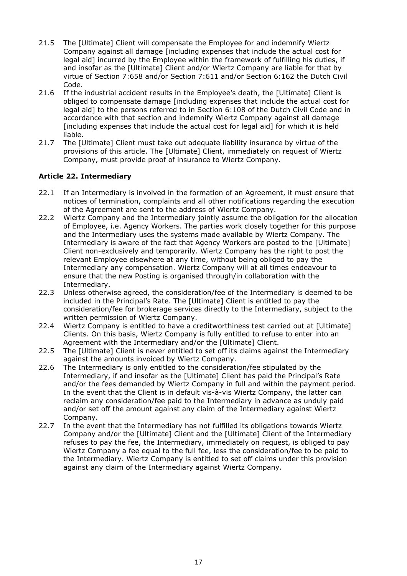- 21.5 The [Ultimate] Client will compensate the Employee for and indemnify Wiertz Company against all damage [including expenses that include the actual cost for legal aid] incurred by the Employee within the framework of fulfilling his duties, if and insofar as the [Ultimate] Client and/or Wiertz Company are liable for that by virtue of Section 7:658 and/or Section 7:611 and/or Section 6:162 the Dutch Civil Code.
- 21.6 If the industrial accident results in the Employee's death, the [Ultimate] Client is obliged to compensate damage [including expenses that include the actual cost for legal aid] to the persons referred to in Section 6:108 of the Dutch Civil Code and in accordance with that section and indemnify Wiertz Company against all damage [including expenses that include the actual cost for legal aid] for which it is held liable.
- 21.7 The [Ultimate] Client must take out adequate liability insurance by virtue of the provisions of this article. The [Ultimate] Client, immediately on request of Wiertz Company, must provide proof of insurance to Wiertz Company.

# **Article 22. Intermediary**

- 22.1 If an Intermediary is involved in the formation of an Agreement, it must ensure that notices of termination, complaints and all other notifications regarding the execution of the Agreement are sent to the address of Wiertz Company.
- 22.2 Wiertz Company and the Intermediary jointly assume the obligation for the allocation of Employee, i.e. Agency Workers. The parties work closely together for this purpose and the Intermediary uses the systems made available by Wiertz Company. The Intermediary is aware of the fact that Agency Workers are posted to the [Ultimate] Client non-exclusively and temporarily. Wiertz Company has the right to post the relevant Employee elsewhere at any time, without being obliged to pay the Intermediary any compensation. Wiertz Company will at all times endeavour to ensure that the new Posting is organised through/in collaboration with the Intermediary.
- 22.3 Unless otherwise agreed, the consideration/fee of the Intermediary is deemed to be included in the Principal's Rate. The [Ultimate] Client is entitled to pay the consideration/fee for brokerage services directly to the Intermediary, subject to the written permission of Wiertz Company.
- 22.4 Wiertz Company is entitled to have a creditworthiness test carried out at [Ultimate] Clients. On this basis, Wiertz Company is fully entitled to refuse to enter into an Agreement with the Intermediary and/or the [Ultimate] Client.
- 22.5 The [Ultimate] Client is never entitled to set off its claims against the Intermediary against the amounts invoiced by Wiertz Company.
- 22.6 The Intermediary is only entitled to the consideration/fee stipulated by the Intermediary, if and insofar as the [Ultimate] Client has paid the Principal's Rate and/or the fees demanded by Wiertz Company in full and within the payment period. In the event that the Client is in default vis-à-vis Wiertz Company, the latter can reclaim any consideration/fee paid to the Intermediary in advance as unduly paid and/or set off the amount against any claim of the Intermediary against Wiertz Company.
- 22.7 In the event that the Intermediary has not fulfilled its obligations towards Wiertz Company and/or the [Ultimate] Client and the [Ultimate] Client of the Intermediary refuses to pay the fee, the Intermediary, immediately on request, is obliged to pay Wiertz Company a fee equal to the full fee, less the consideration/fee to be paid to the Intermediary. Wiertz Company is entitled to set off claims under this provision against any claim of the Intermediary against Wiertz Company.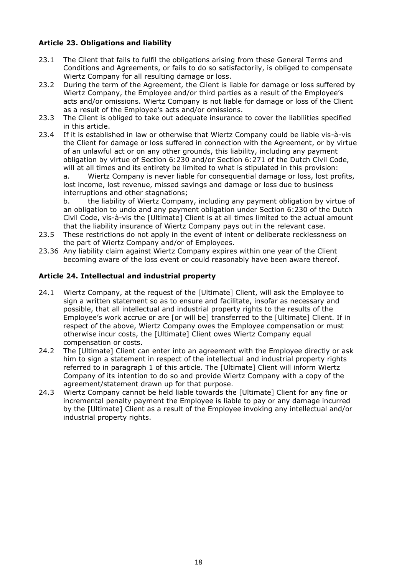# **Article 23. Obligations and liability**

- 23.1 The Client that fails to fulfil the obligations arising from these General Terms and Conditions and Agreements, or fails to do so satisfactorily, is obliged to compensate Wiertz Company for all resulting damage or loss.
- 23.2 During the term of the Agreement, the Client is liable for damage or loss suffered by Wiertz Company, the Employee and/or third parties as a result of the Employee's acts and/or omissions. Wiertz Company is not liable for damage or loss of the Client as a result of the Employee's acts and/or omissions.
- 23.3 The Client is obliged to take out adequate insurance to cover the liabilities specified in this article.

23.4 If it is established in law or otherwise that Wiertz Company could be liable vis-à-vis the Client for damage or loss suffered in connection with the Agreement, or by virtue of an unlawful act or on any other grounds, this liability, including any payment obligation by virtue of Section 6:230 and/or Section 6:271 of the Dutch Civil Code, will at all times and its entirety be limited to what is stipulated in this provision:

a. Wiertz Company is never liable for consequential damage or loss, lost profits, lost income, lost revenue, missed savings and damage or loss due to business interruptions and other stagnations;

b. the liability of Wiertz Company, including any payment obligation by virtue of an obligation to undo and any payment obligation under Section 6:230 of the Dutch Civil Code, vis-à-vis the [Ultimate] Client is at all times limited to the actual amount that the liability insurance of Wiertz Company pays out in the relevant case.

- 23.5 These restrictions do not apply in the event of intent or deliberate recklessness on the part of Wiertz Company and/or of Employees.
- 23.36 Any liability claim against Wiertz Company expires within one year of the Client becoming aware of the loss event or could reasonably have been aware thereof.

#### **Article 24. Intellectual and industrial property**

- 24.1 Wiertz Company, at the request of the [Ultimate] Client, will ask the Employee to sign a written statement so as to ensure and facilitate, insofar as necessary and possible, that all intellectual and industrial property rights to the results of the Employee's work accrue or are [or will be] transferred to the [Ultimate] Client. If in respect of the above, Wiertz Company owes the Employee compensation or must otherwise incur costs, the [Ultimate] Client owes Wiertz Company equal compensation or costs.
- 24.2 The [Ultimate] Client can enter into an agreement with the Employee directly or ask him to sign a statement in respect of the intellectual and industrial property rights referred to in paragraph 1 of this article. The [Ultimate] Client will inform Wiertz Company of its intention to do so and provide Wiertz Company with a copy of the agreement/statement drawn up for that purpose.
- 24.3 Wiertz Company cannot be held liable towards the [Ultimate] Client for any fine or incremental penalty payment the Employee is liable to pay or any damage incurred by the [Ultimate] Client as a result of the Employee invoking any intellectual and/or industrial property rights.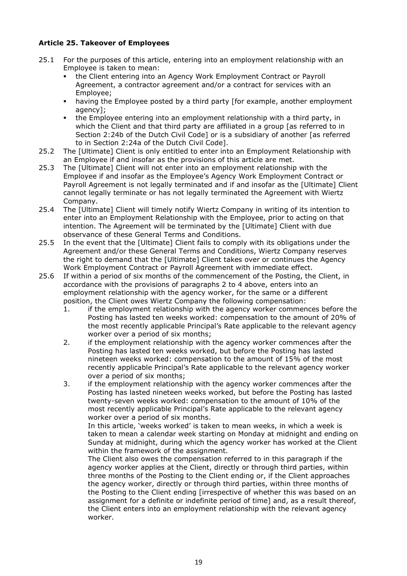# **Article 25. Takeover of Employees**

- 25.1 For the purposes of this article, entering into an employment relationship with an Employee is taken to mean:
	- the Client entering into an Agency Work Employment Contract or Payroll Agreement, a contractor agreement and/or a contract for services with an Employee;
	- having the Employee posted by a third party [for example, another employment agency];
	- the Employee entering into an employment relationship with a third party, in which the Client and that third party are affiliated in a group [as referred to in Section 2:24b of the Dutch Civil Code] or is a subsidiary of another [as referred to in Section 2:24a of the Dutch Civil Code].
- 25.2 The [Ultimate] Client is only entitled to enter into an Employment Relationship with an Employee if and insofar as the provisions of this article are met.
- 25.3 The [Ultimate] Client will not enter into an employment relationship with the Employee if and insofar as the Employee's Agency Work Employment Contract or Payroll Agreement is not legally terminated and if and insofar as the [Ultimate] Client cannot legally terminate or has not legally terminated the Agreement with Wiertz Company.
- 25.4 The [Ultimate] Client will timely notify Wiertz Company in writing of its intention to enter into an Employment Relationship with the Employee, prior to acting on that intention. The Agreement will be terminated by the [Ultimate] Client with due observance of these General Terms and Conditions.
- 25.5 In the event that the [Ultimate] Client fails to comply with its obligations under the Agreement and/or these General Terms and Conditions, Wiertz Company reserves the right to demand that the [Ultimate] Client takes over or continues the Agency Work Employment Contract or Payroll Agreement with immediate effect.
- 25.6 If within a period of six months of the commencement of the Posting, the Client, in accordance with the provisions of paragraphs 2 to 4 above, enters into an employment relationship with the agency worker, for the same or a different position, the Client owes Wiertz Company the following compensation:
	- 1. if the employment relationship with the agency worker commences before the Posting has lasted ten weeks worked: compensation to the amount of 20% of the most recently applicable Principal's Rate applicable to the relevant agency worker over a period of six months;
	- 2. if the employment relationship with the agency worker commences after the Posting has lasted ten weeks worked, but before the Posting has lasted nineteen weeks worked: compensation to the amount of 15% of the most recently applicable Principal's Rate applicable to the relevant agency worker over a period of six months;
	- 3. if the employment relationship with the agency worker commences after the Posting has lasted nineteen weeks worked, but before the Posting has lasted twenty-seven weeks worked: compensation to the amount of 10% of the most recently applicable Principal's Rate applicable to the relevant agency worker over a period of six months.

In this article, 'weeks worked' is taken to mean weeks, in which a week is taken to mean a calendar week starting on Monday at midnight and ending on Sunday at midnight, during which the agency worker has worked at the Client within the framework of the assignment.

The Client also owes the compensation referred to in this paragraph if the agency worker applies at the Client, directly or through third parties, within three months of the Posting to the Client ending or, if the Client approaches the agency worker, directly or through third parties, within three months of the Posting to the Client ending [irrespective of whether this was based on an assignment for a definite or indefinite period of time] and, as a result thereof, the Client enters into an employment relationship with the relevant agency worker.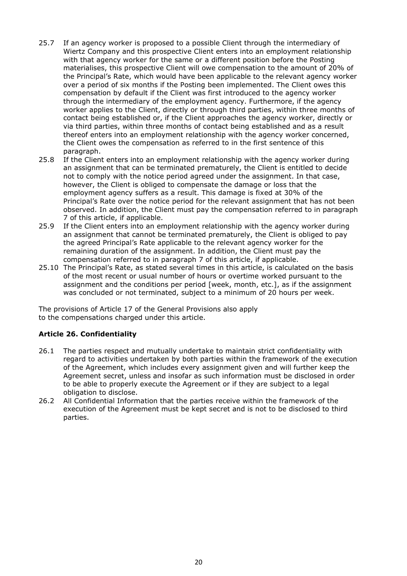- 25.7 If an agency worker is proposed to a possible Client through the intermediary of Wiertz Company and this prospective Client enters into an employment relationship with that agency worker for the same or a different position before the Posting materialises, this prospective Client will owe compensation to the amount of 20% of the Principal's Rate, which would have been applicable to the relevant agency worker over a period of six months if the Posting been implemented. The Client owes this compensation by default if the Client was first introduced to the agency worker through the intermediary of the employment agency. Furthermore, if the agency worker applies to the Client, directly or through third parties, within three months of contact being established or, if the Client approaches the agency worker, directly or via third parties, within three months of contact being established and as a result thereof enters into an employment relationship with the agency worker concerned, the Client owes the compensation as referred to in the first sentence of this paragraph.
- 25.8 If the Client enters into an employment relationship with the agency worker during an assignment that can be terminated prematurely, the Client is entitled to decide not to comply with the notice period agreed under the assignment. In that case, however, the Client is obliged to compensate the damage or loss that the employment agency suffers as a result. This damage is fixed at 30% of the Principal's Rate over the notice period for the relevant assignment that has not been observed. In addition, the Client must pay the compensation referred to in paragraph 7 of this article, if applicable.
- 25.9 If the Client enters into an employment relationship with the agency worker during an assignment that cannot be terminated prematurely, the Client is obliged to pay the agreed Principal's Rate applicable to the relevant agency worker for the remaining duration of the assignment. In addition, the Client must pay the compensation referred to in paragraph 7 of this article, if applicable.
- 25.10 The Principal's Rate, as stated several times in this article, is calculated on the basis of the most recent or usual number of hours or overtime worked pursuant to the assignment and the conditions per period [week, month, etc.], as if the assignment was concluded or not terminated, subject to a minimum of 20 hours per week.

The provisions of Article 17 of the General Provisions also apply to the compensations charged under this article.

# **Article 26. Confidentiality**

- 26.1 The parties respect and mutually undertake to maintain strict confidentiality with regard to activities undertaken by both parties within the framework of the execution of the Agreement, which includes every assignment given and will further keep the Agreement secret, unless and insofar as such information must be disclosed in order to be able to properly execute the Agreement or if they are subject to a legal obligation to disclose.
- 26.2 All Confidential Information that the parties receive within the framework of the execution of the Agreement must be kept secret and is not to be disclosed to third parties.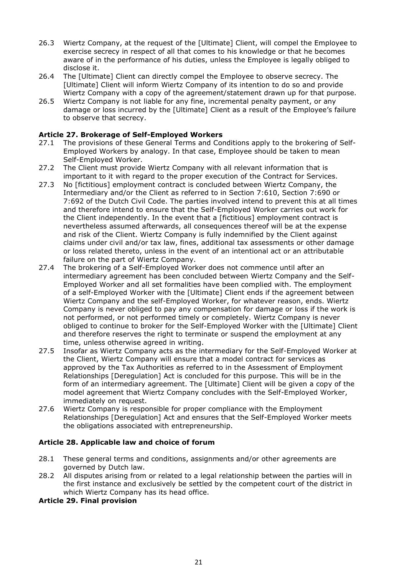- 26.3 Wiertz Company, at the request of the [Ultimate] Client, will compel the Employee to exercise secrecy in respect of all that comes to his knowledge or that he becomes aware of in the performance of his duties, unless the Employee is legally obliged to disclose it.
- 26.4 The [Ultimate] Client can directly compel the Employee to observe secrecy. The [Ultimate] Client will inform Wiertz Company of its intention to do so and provide Wiertz Company with a copy of the agreement/statement drawn up for that purpose.
- 26.5 Wiertz Company is not liable for any fine, incremental penalty payment, or any damage or loss incurred by the [Ultimate] Client as a result of the Employee's failure to observe that secrecy.

# **Article 27. Brokerage of Self-Employed Workers**

- 27.1 The provisions of these General Terms and Conditions apply to the brokering of Self-Employed Workers by analogy. In that case, Employee should be taken to mean Self-Employed Worker.
- 27.2 The Client must provide Wiertz Company with all relevant information that is important to it with regard to the proper execution of the Contract for Services.
- 27.3 No [fictitious] employment contract is concluded between Wiertz Company, the Intermediary and/or the Client as referred to in Section 7:610, Section 7:690 or 7:692 of the Dutch Civil Code. The parties involved intend to prevent this at all times and therefore intend to ensure that the Self-Employed Worker carries out work for the Client independently. In the event that a [fictitious] employment contract is nevertheless assumed afterwards, all consequences thereof will be at the expense and risk of the Client. Wiertz Company is fully indemnified by the Client against claims under civil and/or tax law, fines, additional tax assessments or other damage or loss related thereto, unless in the event of an intentional act or an attributable failure on the part of Wiertz Company.
- 27.4 The brokering of a Self-Employed Worker does not commence until after an intermediary agreement has been concluded between Wiertz Company and the Self-Employed Worker and all set formalities have been complied with. The employment of a self-Employed Worker with the [Ultimate] Client ends if the agreement between Wiertz Company and the self-Employed Worker, for whatever reason, ends. Wiertz Company is never obliged to pay any compensation for damage or loss if the work is not performed, or not performed timely or completely. Wiertz Company is never obliged to continue to broker for the Self-Employed Worker with the [Ultimate] Client and therefore reserves the right to terminate or suspend the employment at any time, unless otherwise agreed in writing.
- 27.5 Insofar as Wiertz Company acts as the intermediary for the Self-Employed Worker at the Client, Wiertz Company will ensure that a model contract for services as approved by the Tax Authorities as referred to in the Assessment of Employment Relationships [Deregulation] Act is concluded for this purpose. This will be in the form of an intermediary agreement. The [Ultimate] Client will be given a copy of the model agreement that Wiertz Company concludes with the Self-Employed Worker, immediately on request.
- 27.6 Wiertz Company is responsible for proper compliance with the Employment Relationships [Deregulation] Act and ensures that the Self-Employed Worker meets the obligations associated with entrepreneurship.

# **Article 28. Applicable law and choice of forum**

- 28.1 These general terms and conditions, assignments and/or other agreements are governed by Dutch law.
- 28.2 All disputes arising from or related to a legal relationship between the parties will in the first instance and exclusively be settled by the competent court of the district in which Wiertz Company has its head office.

#### **Article 29. Final provision**